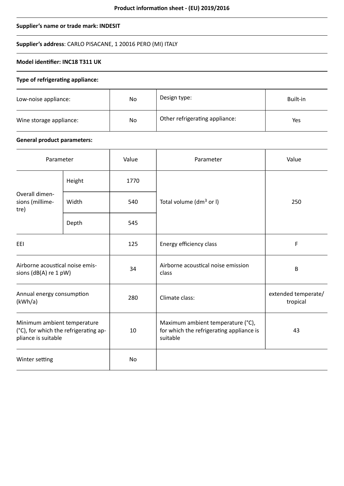## **Supplier's name or trade mark: INDESIT**

# **Supplier's address**: CARLO PISACANE, 1 20016 PERO (MI) ITALY

# **Model identifier: INC18 T311 UK**

# **Type of refrigerating appliance:**

| Low-noise appliance:    | No | Design type:                   | Built-in |
|-------------------------|----|--------------------------------|----------|
| Wine storage appliance: | No | Other refrigerating appliance: | Yes      |

## **General product parameters:**

| Parameter                                                                                   |        | Value | Parameter                                                                                 | Value                           |
|---------------------------------------------------------------------------------------------|--------|-------|-------------------------------------------------------------------------------------------|---------------------------------|
| Overall dimen-<br>sions (millime-<br>tre)                                                   | Height | 1770  |                                                                                           | 250                             |
|                                                                                             | Width  | 540   | Total volume (dm <sup>3</sup> or I)                                                       |                                 |
|                                                                                             | Depth  | 545   |                                                                                           |                                 |
| EEI                                                                                         |        | 125   | Energy efficiency class                                                                   | F                               |
| Airborne acoustical noise emis-<br>sions (dB(A) re 1 pW)                                    |        | 34    | Airborne acoustical noise emission<br>class                                               | B                               |
| Annual energy consumption<br>(kWh/a)                                                        |        | 280   | Climate class:                                                                            | extended temperate/<br>tropical |
| Minimum ambient temperature<br>(°C), for which the refrigerating ap-<br>pliance is suitable |        | 10    | Maximum ambient temperature (°C),<br>for which the refrigerating appliance is<br>suitable | 43                              |
| Winter setting                                                                              |        | No    |                                                                                           |                                 |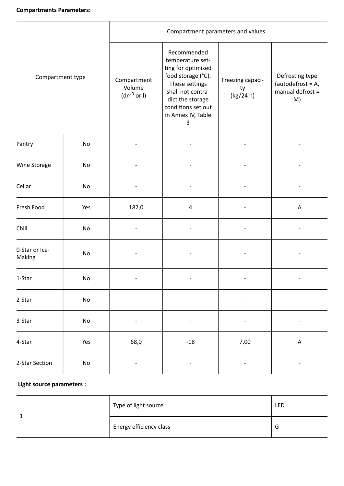| Compartment type         |                              | Compartment parameters and values               |                                                                                                                                                                                                   |                                     |                                                                   |
|--------------------------|------------------------------|-------------------------------------------------|---------------------------------------------------------------------------------------------------------------------------------------------------------------------------------------------------|-------------------------------------|-------------------------------------------------------------------|
|                          |                              | Compartment<br>Volume<br>(dm <sup>3</sup> or I) | Recommended<br>temperature set-<br>ting for optimised<br>food storage (°C).<br>These settings<br>shall not contra-<br>dict the storage<br>conditions set out<br>in Annex IV, Table<br>$\mathsf 3$ | Freezing capaci-<br>ty<br>(kg/24 h) | Defrosting type<br>(autodefrost = $A$ ,<br>manual defrost =<br>M) |
| Pantry                   | No                           |                                                 |                                                                                                                                                                                                   |                                     |                                                                   |
| Wine Storage             | No                           |                                                 |                                                                                                                                                                                                   |                                     |                                                                   |
| Cellar                   | No                           |                                                 |                                                                                                                                                                                                   |                                     |                                                                   |
| Fresh Food               | Yes                          | 182,0                                           | $\sqrt{4}$                                                                                                                                                                                        |                                     | A                                                                 |
| Chill                    | No                           |                                                 |                                                                                                                                                                                                   |                                     |                                                                   |
| 0-Star or Ice-<br>Making | No                           |                                                 |                                                                                                                                                                                                   |                                     |                                                                   |
| 1-Star                   | $\mathsf{No}$                |                                                 |                                                                                                                                                                                                   |                                     |                                                                   |
| 2-Star                   | $\mathsf{No}$                |                                                 |                                                                                                                                                                                                   |                                     |                                                                   |
| 3-Star                   | $\operatorname{\mathsf{No}}$ |                                                 |                                                                                                                                                                                                   |                                     |                                                                   |
| 4-Star                   | Yes                          | 68,0                                            | $-18$                                                                                                                                                                                             | 7,00                                | $\boldsymbol{\mathsf{A}}$                                         |
| 2-Star Section           | $\operatorname{\mathsf{No}}$ | $\overline{\phantom{a}}$                        |                                                                                                                                                                                                   |                                     | -                                                                 |

## **Light source parameters :**

|  | Type of light source    | LED |
|--|-------------------------|-----|
|  | Energy efficiency class | G   |